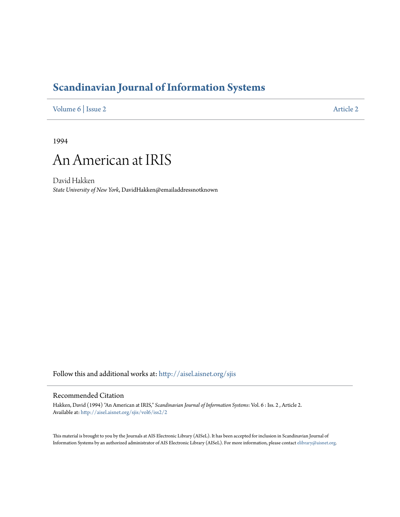## **[Scandinavian Journal of Information Systems](http://aisel.aisnet.org/sjis?utm_source=aisel.aisnet.org%2Fsjis%2Fvol6%2Fiss2%2F2&utm_medium=PDF&utm_campaign=PDFCoverPages)**

[Volume 6](http://aisel.aisnet.org/sjis/vol6?utm_source=aisel.aisnet.org%2Fsjis%2Fvol6%2Fiss2%2F2&utm_medium=PDF&utm_campaign=PDFCoverPages) | [Issue 2](http://aisel.aisnet.org/sjis/vol6/iss2?utm_source=aisel.aisnet.org%2Fsjis%2Fvol6%2Fiss2%2F2&utm_medium=PDF&utm_campaign=PDFCoverPages) [Article 2](http://aisel.aisnet.org/sjis/vol6/iss2/2?utm_source=aisel.aisnet.org%2Fsjis%2Fvol6%2Fiss2%2F2&utm_medium=PDF&utm_campaign=PDFCoverPages)

1994



David Hakken *State University of New York*, DavidHakken@emailaddressnotknown

Follow this and additional works at: [http://aisel.aisnet.org/sjis](http://aisel.aisnet.org/sjis?utm_source=aisel.aisnet.org%2Fsjis%2Fvol6%2Fiss2%2F2&utm_medium=PDF&utm_campaign=PDFCoverPages)

## Recommended Citation

Hakken, David (1994) "An American at IRIS," *Scandinavian Journal of Information Systems*: Vol. 6 : Iss. 2 , Article 2. Available at: [http://aisel.aisnet.org/sjis/vol6/iss2/2](http://aisel.aisnet.org/sjis/vol6/iss2/2?utm_source=aisel.aisnet.org%2Fsjis%2Fvol6%2Fiss2%2F2&utm_medium=PDF&utm_campaign=PDFCoverPages)

This material is brought to you by the Journals at AIS Electronic Library (AISeL). It has been accepted for inclusion in Scandinavian Journal of Information Systems by an authorized administrator of AIS Electronic Library (AISeL). For more information, please contact [elibrary@aisnet.org.](mailto:elibrary@aisnet.org%3E)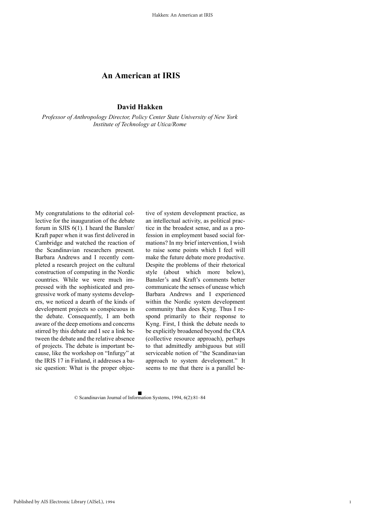## **An American at IRIS**

**David Hakken**

*Professor of Anthropology Director, Policy Center State University of New York Institute of Technology at Utica/Rome*

My congratulations to the editorial collective for the inauguration of the debate forum in SJIS 6(1). I heard the Bansler/ Kraft paper when it was first delivered in Cambridge and watched the reaction of the Scandinavian researchers present. Barbara Andrews and I recently completed a research project on the cultural construction of computing in the Nordic countries. While we were much impressed with the sophisticated and progressive work of many systems developers, we noticed a dearth of the kinds of development projects so conspicuous in the debate. Consequently, I am both aware of the deep emotions and concerns stirred by this debate and I see a link between the debate and the relative absence of projects. The debate is important because, like the workshop on "Infurgy" at the IRIS 17 in Finland, it addresses a basic question: What is the proper objec-

tive of system development practice, as an intellectual activity, as political practice in the broadest sense, and as a profession in employment based social formations? In my brief intervention, I wish to raise some points which I feel will make the future debate more productive. Despite the problems of their rhetorical style (about which more below), Bansler's and Kraft's comments better communicate the senses of unease which Barbara Andrews and I experienced within the Nordic system development community than does Kyng. Thus I respond primarily to their response to Kyng. First, I think the debate needs to be explicitly broadened beyond the CRA (collective resource approach), perhaps to that admittedly ambiguous but still serviceable notion of "the Scandinavian approach to system development." It seems to me that there is a parallel be-

© Scandinavian Journal of Information Systems, 1994, 6(2):81–84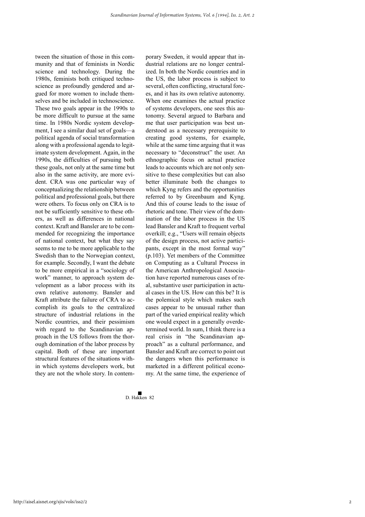tween the situation of those in this community and that of feminists in Nordic science and technology. During the 1980s, feminists both critiqued technoscience as profoundly gendered and argued for more women to include themselves and be included in technoscience. These two goals appear in the 1990s to be more difficult to pursue at the same time. In 1980s Nordic system development, I see a similar dual set of goals—a political agenda of social transformation along with a professional agenda to legitimate system development. Again, in the 1990s, the difficulties of pursuing both these goals, not only at the same time but also in the same activity, are more evident. CRA was one particular way of conceptualizing the relationship between political and professional goals, but there were others. To focus only on CRA is to not be sufficiently sensitive to these others, as well as differences in national context. Kraft and Bansler are to be commended for recognizing the importance of national context, but what they say seems to me to be more applicable to the Swedish than to the Norwegian context, for example. Secondly, I want the debate to be more empirical in a "sociology of work" manner, to approach system development as a labor process with its own relative autonomy. Bansler and Kraft attribute the failure of CRA to accomplish its goals to the centralized structure of industrial relations in the Nordic countries, and their pessimism with regard to the Scandinavian approach in the US follows from the thorough domination of the labor process by capital. Both of these are important structural features of the situations within which systems developers work, but they are not the whole story. In contemporary Sweden, it would appear that industrial relations are no longer centralized. In both the Nordic countries and in the US, the labor process is subject to several, often conflicting, structural forces, and it has its own relative autonomy. When one examines the actual practice of systems developers, one sees this autonomy. Several argued to Barbara and me that user participation was best understood as a necessary prerequisite to creating good systems, for example, while at the same time arguing that it was necessary to "deconstruct" the user. An ethnographic focus on actual practice leads to accounts which are not only sensitive to these complexities but can also better illuminate both the changes to which Kyng refers and the opportunities referred to by Greenbaum and Kyng. And this of course leads to the issue of rhetoric and tone. Their view of the domination of the labor process in the US lead Bansler and Kraft to frequent verbal overkill; e.g., "Users will remain objects of the design process, not active participants, except in the most formal way" (p.103). Yet members of the Committee on Computing as a Cultural Process in the American Anthropological Association have reported numerous cases of real, substantive user participation in actual cases in the US. How can this be? It is the polemical style which makes such cases appear to be unusual rather than part of the varied empirical reality which one would expect in a generally overdetermined world. In sum, I think there is a real crisis in "the Scandinavian approach" as a cultural performance, and Bansler and Kraft are correct to point out the dangers when this performance is marketed in a different political economy. At the same time, the experience of

D. Hakken 82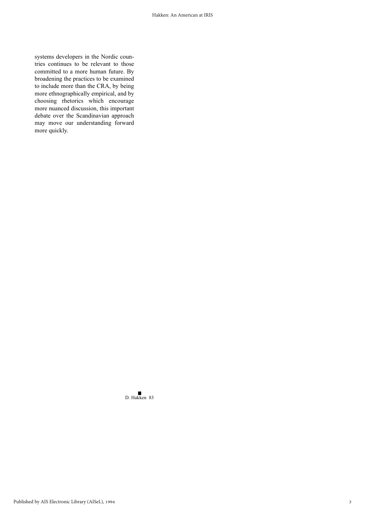systems developers in the Nordic countries continues to be relevant to those committed to a more human future. By broadening the practices to be examined to include more than the CRA, by being more ethnographically empirical, and by choosing rhetorics which encourage more nuanced discussion, this important debate over the Scandinavian approach may move our understanding forward more quickly.